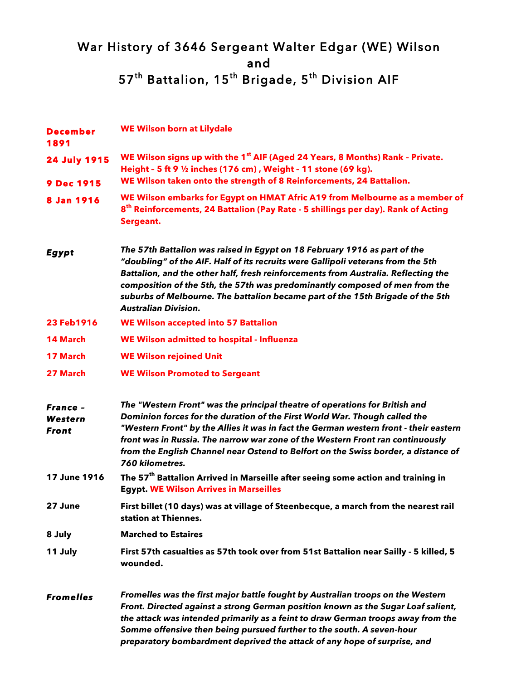## War History of 3646 Sergeant Walter Edgar (WE) Wilson and 57<sup>th</sup> Battalion, 15<sup>th</sup> Brigade, 5<sup>th</sup> Division AIF

| <b>December</b><br>1891                    | <b>WE Wilson born at Lilydale</b>                                                                                                                                                                                                                                                                                                                                                                                                                   |
|--------------------------------------------|-----------------------------------------------------------------------------------------------------------------------------------------------------------------------------------------------------------------------------------------------------------------------------------------------------------------------------------------------------------------------------------------------------------------------------------------------------|
| <b>24 July 1915</b>                        | WE Wilson signs up with the 1 <sup>st</sup> AIF (Aged 24 Years, 8 Months) Rank - Private.<br>Height - 5 ft 9 1/2 inches (176 cm), Weight - 11 stone (69 kg).                                                                                                                                                                                                                                                                                        |
| <b>9 Dec 1915</b>                          | WE Wilson taken onto the strength of 8 Reinforcements, 24 Battalion.                                                                                                                                                                                                                                                                                                                                                                                |
| 8 Jan 1916                                 | WE Wilson embarks for Egypt on HMAT Afric A19 from Melbourne as a member of<br>8 <sup>th</sup> Reinforcements, 24 Battalion (Pay Rate - 5 shillings per day). Rank of Acting<br>Sergeant.                                                                                                                                                                                                                                                           |
| <b>Egypt</b>                               | The 57th Battalion was raised in Egypt on 18 February 1916 as part of the<br>"doubling" of the AIF. Half of its recruits were Gallipoli veterans from the 5th<br>Battalion, and the other half, fresh reinforcements from Australia. Reflecting the<br>composition of the 5th, the 57th was predominantly composed of men from the<br>suburbs of Melbourne. The battalion became part of the 15th Brigade of the 5th<br><b>Australian Division.</b> |
| 23 Feb1916                                 | <b>WE Wilson accepted into 57 Battalion</b>                                                                                                                                                                                                                                                                                                                                                                                                         |
| <b>14 March</b>                            | WE Wilson admitted to hospital - Influenza                                                                                                                                                                                                                                                                                                                                                                                                          |
| <b>17 March</b>                            | <b>WE Wilson rejoined Unit</b>                                                                                                                                                                                                                                                                                                                                                                                                                      |
| 27 March                                   | <b>WE Wilson Promoted to Sergeant</b>                                                                                                                                                                                                                                                                                                                                                                                                               |
| France -<br><b>Western</b><br><b>Front</b> | The "Western Front" was the principal theatre of operations for British and<br>Dominion forces for the duration of the First World War. Though called the<br>"Western Front" by the Allies it was in fact the German western front - their eastern<br>front was in Russia. The narrow war zone of the Western Front ran continuously<br>from the English Channel near Ostend to Belfort on the Swiss border, a distance of<br>760 kilometres.       |
| 17 June 1916                               | The 57 <sup>th</sup> Battalion Arrived in Marseille after seeing some action and training in<br><b>Egypt. WE Wilson Arrives in Marseilles</b>                                                                                                                                                                                                                                                                                                       |
| 27 June                                    | First billet (10 days) was at village of Steenbecque, a march from the nearest rail<br>station at Thiennes.                                                                                                                                                                                                                                                                                                                                         |
| 8 July                                     | <b>Marched to Estaires</b>                                                                                                                                                                                                                                                                                                                                                                                                                          |
| 11 July                                    | First 57th casualties as 57th took over from 51st Battalion near Sailly - 5 killed, 5<br>wounded.                                                                                                                                                                                                                                                                                                                                                   |
| <b>Fromelles</b>                           | Fromelles was the first major battle fought by Australian troops on the Western<br>Front. Directed against a strong German position known as the Sugar Loaf salient,<br>the attack was intended primarily as a feint to draw German troops away from the<br>Somme offensive then being pursued further to the south. A seven-hour<br>preparatory bombardment deprived the attack of any hope of surprise, and                                       |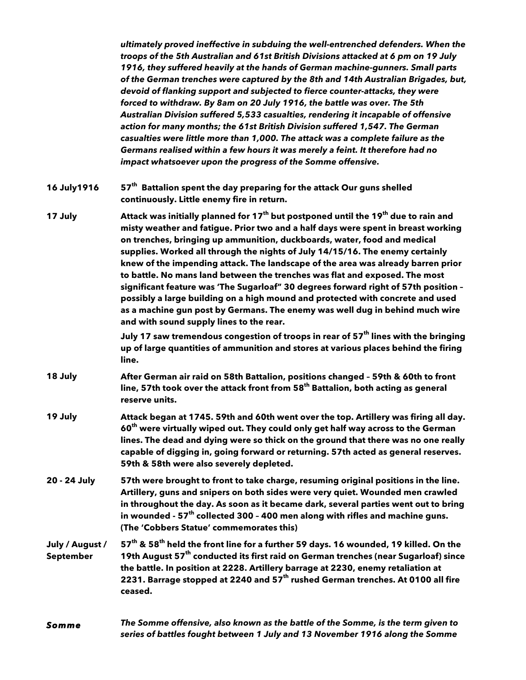*ultimately proved ineffective in subduing the well-entrenched defenders. When the troops of the 5th Australian and 61st British Divisions attacked at 6 pm on 19 July 1916, they suffered heavily at the hands of German machine-gunners. Small parts of the German trenches were captured by the 8th and 14th Australian Brigades, but, devoid of flanking support and subjected to fierce counter-attacks, they were forced to withdraw. By 8am on 20 July 1916, the battle was over. The 5th Australian Division suffered 5,533 casualties, rendering it incapable of offensive action for many months; the 61st British Division suffered 1,547. The German casualties were little more than 1,000. The attack was a complete failure as the Germans realised within a few hours it was merely a feint. It therefore had no impact whatsoever upon the progress of the Somme offensive.*

- **16 July1916 57th Battalion spent the day preparing for the attack Our guns shelled continuously. Little enemy fire in return.**
- **17 July Attack was initially planned for 17th but postponed until the 19th due to rain and misty weather and fatigue. Prior two and a half days were spent in breast working on trenches, bringing up ammunition, duckboards, water, food and medical supplies. Worked all through the nights of July 14/15/16. The enemy certainly knew of the impending attack. The landscape of the area was already barren prior to battle. No mans land between the trenches was flat and exposed. The most significant feature was 'The Sugarloaf" 30 degrees forward right of 57th position – possibly a large building on a high mound and protected with concrete and used as a machine gun post by Germans. The enemy was well dug in behind much wire and with sound supply lines to the rear.**

**July 17 saw tremendous congestion of troops in rear of 57th lines with the bringing up of large quantities of ammunition and stores at various places behind the firing line.**

- **18 July After German air raid on 58th Battalion, positions changed – 59th & 60th to front line, 57th took over the attack front from 58th Battalion, both acting as general reserve units.**
- **19 July Attack began at 1745. 59th and 60th went over the top. Artillery was firing all day. 60th were virtually wiped out. They could only get half way across to the German lines. The dead and dying were so thick on the ground that there was no one really capable of digging in, going forward or returning. 57th acted as general reserves. 59th & 58th were also severely depleted.**
- **20 - 24 July 57th were brought to front to take charge, resuming original positions in the line. Artillery, guns and snipers on both sides were very quiet. Wounded men crawled in throughout the day. As soon as it became dark, several parties went out to bring in wounded - 57th collected 300 – 400 men along with rifles and machine guns. (The 'Cobbers Statue' commemorates this)**
- **July / August / September 57th & 58th held the front line for a further 59 days. 16 wounded, 19 killed. On the 19th August 57th conducted its first raid on German trenches (near Sugarloaf) since the battle. In position at 2228. Artillery barrage at 2230, enemy retaliation at 2231. Barrage stopped at 2240 and 57th rushed German trenches. At 0100 all fire ceased.**
- *Somme The Somme offensive, also known as the battle of the Somme, is the term given to series of battles fought between 1 July and 13 November 1916 along the Somme*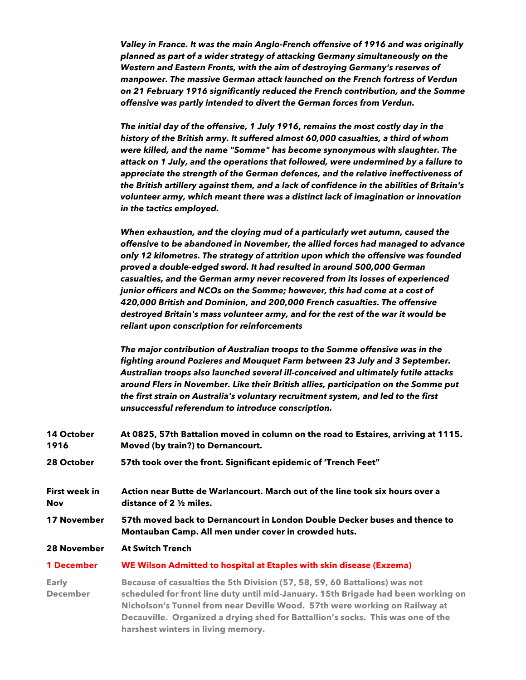*Valley in France. It was the main Anglo-French offensive of 1916 and was originally planned as part of a wider strategy of attacking Germany simultaneously on the Western and Eastern Fronts, with the aim of destroying Germany's reserves of manpower. The massive German attack launched on the French fortress of Verdun on 21 February 1916 significantly reduced the French contribution, and the Somme offensive was partly intended to divert the German forces from Verdun.*

*The initial day of the offensive, 1 July 1916, remains the most costly day in the history of the British army. It suffered almost 60,000 casualties, a third of whom were killed, and the name "Somme" has become synonymous with slaughter. The attack on 1 July, and the operations that followed, were undermined by a failure to appreciate the strength of the German defences, and the relative ineffectiveness of the British artillery against them, and a lack of confidence in the abilities of Britain's volunteer army, which meant there was a distinct lack of imagination or innovation in the tactics employed.*

*When exhaustion, and the cloying mud of a particularly wet autumn, caused the offensive to be abandoned in November, the allied forces had managed to advance only 12 kilometres. The strategy of attrition upon which the offensive was founded proved a double-edged sword. It had resulted in around 500,000 German casualties, and the German army never recovered from its losses of experienced junior officers and NCOs on the Somme; however, this had come at a cost of 420,000 British and Dominion, and 200,000 French casualties. The offensive destroyed Britain's mass volunteer army, and for the rest of the war it would be reliant upon conscription for reinforcements*

*The major contribution of Australian troops to the Somme offensive was in the fighting around Pozieres and Mouquet Farm between 23 July and 3 September. Australian troops also launched several ill-conceived and ultimately futile attacks around Flers in November. Like their British allies, participation on the Somme put the first strain on Australia's voluntary recruitment system, and led to the first unsuccessful referendum to introduce conscription.*

| 14 October<br>1916              | At 0825, 57th Battalion moved in column on the road to Estaires, arriving at 1115.<br>Moved (by train?) to Dernancourt.                                                                                                                                                                                                                                                |  |
|---------------------------------|------------------------------------------------------------------------------------------------------------------------------------------------------------------------------------------------------------------------------------------------------------------------------------------------------------------------------------------------------------------------|--|
| 28 October                      | 57th took over the front. Significant epidemic of 'Trench Feet"                                                                                                                                                                                                                                                                                                        |  |
| First week in<br>Nov            | Action near Butte de Warlancourt. March out of the line took six hours over a<br>distance of $2\frac{1}{2}$ miles.                                                                                                                                                                                                                                                     |  |
| 17 November                     | 57th moved back to Dernancourt in London Double Decker buses and thence to<br>Montauban Camp. All men under cover in crowded huts.                                                                                                                                                                                                                                     |  |
| 28 November                     | <b>At Switch Trench</b>                                                                                                                                                                                                                                                                                                                                                |  |
| <b>1 December</b>               | WE Wilson Admitted to hospital at Etaples with skin disease (Exzema)                                                                                                                                                                                                                                                                                                   |  |
| <b>Early</b><br><b>December</b> | Because of casualties the 5th Division (57, 58, 59, 60 Battalions) was not<br>scheduled for front line duty until mid-January. 15th Brigade had been working on<br>Nicholson's Tunnel from near Deville Wood. 57th were working on Railway at<br>Decauville. Organized a drying shed for Battallion's socks. This was one of the<br>harshest winters in living memory. |  |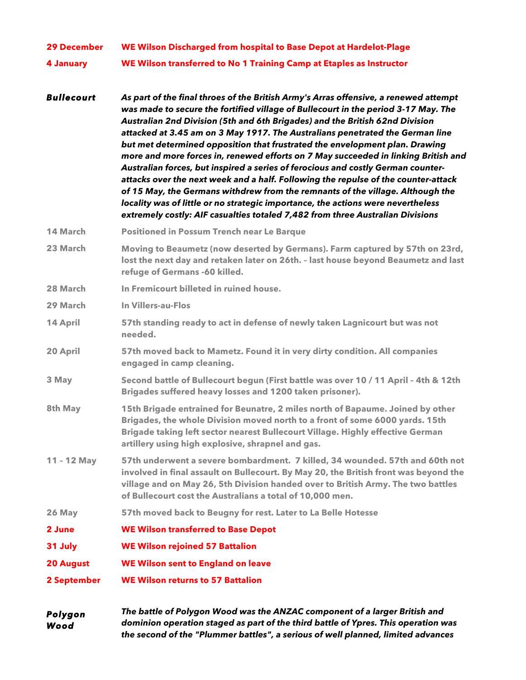| <b>29 December</b> | WE Wilson Discharged from hospital to Base Depot at Hardelot-Plage                                                                                                                                                                                                                                                                                                                                                                                                                                                                                                                                                                                                                                                                                                                                                                                                                                                                                 |
|--------------------|----------------------------------------------------------------------------------------------------------------------------------------------------------------------------------------------------------------------------------------------------------------------------------------------------------------------------------------------------------------------------------------------------------------------------------------------------------------------------------------------------------------------------------------------------------------------------------------------------------------------------------------------------------------------------------------------------------------------------------------------------------------------------------------------------------------------------------------------------------------------------------------------------------------------------------------------------|
| 4 January          | WE Wilson transferred to No 1 Training Camp at Etaples as Instructor                                                                                                                                                                                                                                                                                                                                                                                                                                                                                                                                                                                                                                                                                                                                                                                                                                                                               |
| <b>Bullecourt</b>  | As part of the final throes of the British Army's Arras offensive, a renewed attempt<br>was made to secure the fortified village of Bullecourt in the period 3-17 May. The<br>Australian 2nd Division (5th and 6th Brigades) and the British 62nd Division<br>attacked at 3.45 am on 3 May 1917. The Australians penetrated the German line<br>but met determined opposition that frustrated the envelopment plan. Drawing<br>more and more forces in, renewed efforts on 7 May succeeded in linking British and<br>Australian forces, but inspired a series of ferocious and costly German counter-<br>attacks over the next week and a half. Following the repulse of the counter-attack<br>of 15 May, the Germans withdrew from the remnants of the village. Although the<br>locality was of little or no strategic importance, the actions were nevertheless<br>extremely costly: AIF casualties totaled 7,482 from three Australian Divisions |
| 14 March           | <b>Positioned in Possum Trench near Le Barque</b>                                                                                                                                                                                                                                                                                                                                                                                                                                                                                                                                                                                                                                                                                                                                                                                                                                                                                                  |
| 23 March           | Moving to Beaumetz (now deserted by Germans). Farm captured by 57th on 23rd,<br>lost the next day and retaken later on 26th. - last house beyond Beaumetz and last<br>refuge of Germans -60 killed.                                                                                                                                                                                                                                                                                                                                                                                                                                                                                                                                                                                                                                                                                                                                                |
| 28 March           | In Fremicourt billeted in ruined house.                                                                                                                                                                                                                                                                                                                                                                                                                                                                                                                                                                                                                                                                                                                                                                                                                                                                                                            |
| 29 March           | <b>In Villers-au-Flos</b>                                                                                                                                                                                                                                                                                                                                                                                                                                                                                                                                                                                                                                                                                                                                                                                                                                                                                                                          |
| 14 April           | 57th standing ready to act in defense of newly taken Lagnicourt but was not<br>needed.                                                                                                                                                                                                                                                                                                                                                                                                                                                                                                                                                                                                                                                                                                                                                                                                                                                             |
| 20 April           | 57th moved back to Mametz. Found it in very dirty condition. All companies<br>engaged in camp cleaning.                                                                                                                                                                                                                                                                                                                                                                                                                                                                                                                                                                                                                                                                                                                                                                                                                                            |
| 3 May              | Second battle of Bullecourt begun (First battle was over 10 / 11 April - 4th & 12th<br>Brigades suffered heavy losses and 1200 taken prisoner).                                                                                                                                                                                                                                                                                                                                                                                                                                                                                                                                                                                                                                                                                                                                                                                                    |
| 8th May            | 15th Brigade entrained for Beunatre, 2 miles north of Bapaume. Joined by other<br>Brigades, the whole Division moved north to a front of some 6000 yards. 15th<br>Brigade taking left sector nearest Bullecourt Village. Highly effective German<br>artillery using high explosive, shrapnel and gas.                                                                                                                                                                                                                                                                                                                                                                                                                                                                                                                                                                                                                                              |
| $11 - 12$ May      | 57th underwent a severe bombardment. 7 killed, 34 wounded. 57th and 60th not<br>involved in final assault on Bullecourt. By May 20, the British front was beyond the<br>village and on May 26, 5th Division handed over to British Army. The two battles<br>of Bullecourt cost the Australians a total of 10,000 men.                                                                                                                                                                                                                                                                                                                                                                                                                                                                                                                                                                                                                              |
| 26 May             | 57th moved back to Beugny for rest. Later to La Belle Hotesse                                                                                                                                                                                                                                                                                                                                                                                                                                                                                                                                                                                                                                                                                                                                                                                                                                                                                      |
| 2 June             | <b>WE Wilson transferred to Base Depot</b>                                                                                                                                                                                                                                                                                                                                                                                                                                                                                                                                                                                                                                                                                                                                                                                                                                                                                                         |
| 31 July            | <b>WE Wilson rejoined 57 Battalion</b>                                                                                                                                                                                                                                                                                                                                                                                                                                                                                                                                                                                                                                                                                                                                                                                                                                                                                                             |
| <b>20 August</b>   | <b>WE Wilson sent to England on leave</b>                                                                                                                                                                                                                                                                                                                                                                                                                                                                                                                                                                                                                                                                                                                                                                                                                                                                                                          |
| 2 September        | <b>WE Wilson returns to 57 Battalion</b>                                                                                                                                                                                                                                                                                                                                                                                                                                                                                                                                                                                                                                                                                                                                                                                                                                                                                                           |
| Polygon<br>Wood    | The battle of Polygon Wood was the ANZAC component of a larger British and<br>dominion operation staged as part of the third battle of Ypres. This operation was                                                                                                                                                                                                                                                                                                                                                                                                                                                                                                                                                                                                                                                                                                                                                                                   |

*the second of the "Plummer battles", a serious of well planned, limited advances*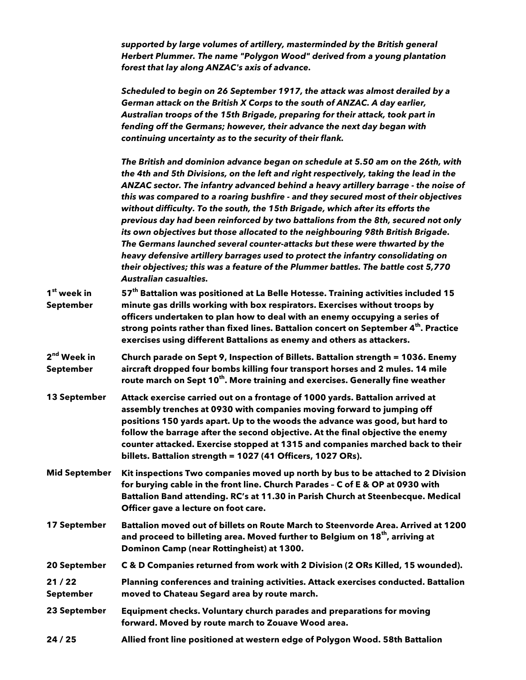*supported by large volumes of artillery, masterminded by the British general Herbert Plummer. The name "Polygon Wood" derived from a young plantation forest that lay along ANZAC's axis of advance.*

*Scheduled to begin on 26 September 1917, the attack was almost derailed by a German attack on the British X Corps to the south of ANZAC. A day earlier, Australian troops of the 15th Brigade, preparing for their attack, took part in fending off the Germans; however, their advance the next day began with continuing uncertainty as to the security of their flank.* 

*The British and dominion advance began on schedule at 5.50 am on the 26th, with the 4th and 5th Divisions, on the left and right respectively, taking the lead in the ANZAC sector. The infantry advanced behind a heavy artillery barrage - the noise of this was compared to a roaring bushfire - and they secured most of their objectives without difficulty. To the south, the 15th Brigade, which after its efforts the previous day had been reinforced by two battalions from the 8th, secured not only its own objectives but those allocated to the neighbouring 98th British Brigade. The Germans launched several counter-attacks but these were thwarted by the heavy defensive artillery barrages used to protect the infantry consolidating on their objectives; this was a feature of the Plummer battles. The battle cost 5,770 Australian casualties.*

- **1st week in September 57th Battalion was positioned at La Belle Hotesse. Training activities included 15 minute gas drills working with box respirators. Exercises without troops by officers undertaken to plan how to deal with an enemy occupying a series of strong points rather than fixed lines. Battalion concert on September 4th. Practice exercises using different Battalions as enemy and others as attackers.**
- **2nd Week in September Church parade on Sept 9, Inspection of Billets. Battalion strength = 1036. Enemy aircraft dropped four bombs killing four transport horses and 2 mules. 14 mile route march on Sept 10th. More training and exercises. Generally fine weather**
- **13 September Attack exercise carried out on a frontage of 1000 yards. Battalion arrived at assembly trenches at 0930 with companies moving forward to jumping off positions 150 yards apart. Up to the woods the advance was good, but hard to follow the barrage after the second objective. At the final objective the enemy counter attacked. Exercise stopped at 1315 and companies marched back to their billets. Battalion strength = 1027 (41 Officers, 1027 ORs).**
- **Mid September Kit inspections Two companies moved up north by bus to be attached to 2 Division for burying cable in the front line. Church Parades – C of E & OP at 0930 with Battalion Band attending. RC's at 11.30 in Parish Church at Steenbecque. Medical Officer gave a lecture on foot care.**
- **17 September Battalion moved out of billets on Route March to Steenvorde Area. Arrived at 1200 and proceed to billeting area. Moved further to Belgium on 18th, arriving at Dominon Camp (near Rottingheist) at 1300.**

**20 September C & D Companies returned from work with 2 Division (2 ORs Killed, 15 wounded).**

- **21 / 22 September Planning conferences and training activities. Attack exercises conducted. Battalion moved to Chateau Segard area by route march.**
- **23 September Equipment checks. Voluntary church parades and preparations for moving forward. Moved by route march to Zouave Wood area.**
- **24 / 25 Allied front line positioned at western edge of Polygon Wood. 58th Battalion**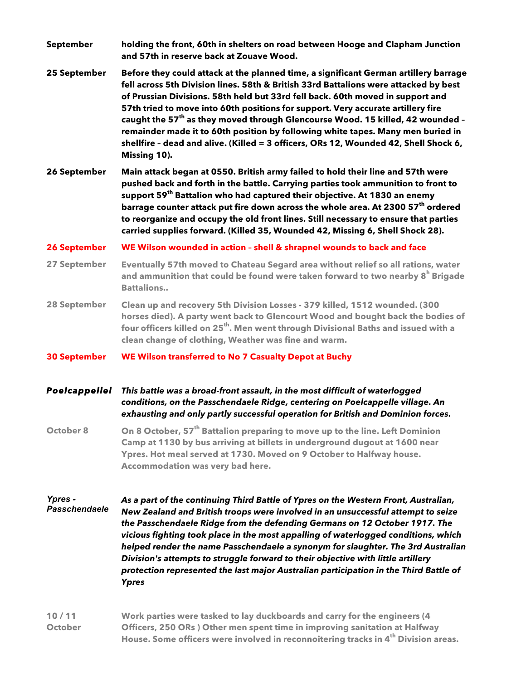- **September holding the front, 60th in shelters on road between Hooge and Clapham Junction and 57th in reserve back at Zouave Wood.**
- **25 September Before they could attack at the planned time, a significant German artillery barrage fell across 5th Division lines. 58th & British 33rd Battalions were attacked by best of Prussian Divisions. 58th held but 33rd fell back. 60th moved in support and 57th tried to move into 60th positions for support. Very accurate artillery fire caught the 57th as they moved through Glencourse Wood. 15 killed, 42 wounded – remainder made it to 60th position by following white tapes. Many men buried in shellfire – dead and alive. (Killed = 3 officers, ORs 12, Wounded 42, Shell Shock 6, Missing 10).**
- **26 September Main attack began at 0550. British army failed to hold their line and 57th were pushed back and forth in the battle. Carrying parties took ammunition to front to support 59th Battalion who had captured their objective. At 1830 an enemy barrage counter attack put fire down across the whole area. At 2300 57th ordered to reorganize and occupy the old front lines. Still necessary to ensure that parties carried supplies forward. (Killed 35, Wounded 42, Missing 6, Shell Shock 28).**

## **26 September WE Wilson wounded in action – shell & shrapnel wounds to back and face**

- **27 September Eventually 57th moved to Chateau Segard area without relief so all rations, water and ammunition that could be found were taken forward to two nearby 8<sup>h</sup> Brigade Battalions..**
- **28 September Clean up and recovery 5th Division Losses - 379 killed, 1512 wounded. (300 horses died). A party went back to Glencourt Wood and bought back the bodies of four officers killed on 25th. Men went through Divisional Baths and issued with a clean change of clothing, Weather was fine and warm.**
- **30 September WE Wilson transferred to No 7 Casualty Depot at Buchy**

## *Poelcappellel This battle was a broad-front assault, in the most difficult of waterlogged conditions, on the Passchendaele Ridge, centering on Poelcappelle village. An exhausting and only partly successful operation for British and Dominion forces.*

**October 8 On 8 October, 57th Battalion preparing to move up to the line. Left Dominion Camp at 1130 by bus arriving at billets in underground dugout at 1600 near Ypres. Hot meal served at 1730. Moved on 9 October to Halfway house. Accommodation was very bad here.**

## *Ypres - Passchendaele As a part of the continuing Third Battle of Ypres on the Western Front, Australian, New Zealand and British troops were involved in an unsuccessful attempt to seize the Passchendaele Ridge from the defending Germans on 12 October 1917. The vicious fighting took place in the most appalling of waterlogged conditions, which helped render the name Passchendaele a synonym for slaughter. The 3rd Australian Division's attempts to struggle forward to their objective with little artillery protection represented the last major Australian participation in the Third Battle of Ypres*

**10 / 11 October Work parties were tasked to lay duckboards and carry for the engineers (4 Officers, 250 ORs ) Other men spent time in improving sanitation at Halfway House. Some officers were involved in reconnoitering tracks in 4th Division areas.**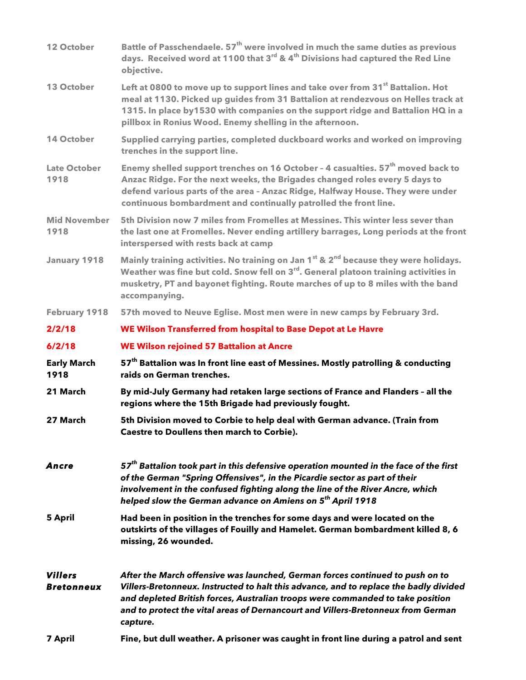| 12 October                          | Battle of Passchendaele. 57 <sup>th</sup> were involved in much the same duties as previous<br>days. Received word at 1100 that 3 <sup>rd</sup> & 4 <sup>th</sup> Divisions had captured the Red Line<br>objective.                                                                                                                                      |  |
|-------------------------------------|----------------------------------------------------------------------------------------------------------------------------------------------------------------------------------------------------------------------------------------------------------------------------------------------------------------------------------------------------------|--|
| 13 October                          | Left at 0800 to move up to support lines and take over from 31 <sup>st</sup> Battalion. Hot<br>meal at 1130. Picked up guides from 31 Battalion at rendezvous on Helles track at<br>1315. In place by 1530 with companies on the support ridge and Battalion HQ in a<br>pillbox in Ronius Wood. Enemy shelling in the afternoon.                         |  |
| <b>14 October</b>                   | Supplied carrying parties, completed duckboard works and worked on improving<br>trenches in the support line.                                                                                                                                                                                                                                            |  |
| <b>Late October</b><br>1918         | Enemy shelled support trenches on 16 October - 4 casualties. 57 <sup>th</sup> moved back to<br>Anzac Ridge. For the next weeks, the Brigades changed roles every 5 days to<br>defend various parts of the area - Anzac Ridge, Halfway House. They were under<br>continuous bombardment and continually patrolled the front line.                         |  |
| <b>Mid November</b><br>1918         | 5th Division now 7 miles from Fromelles at Messines. This winter less sever than<br>the last one at Fromelles. Never ending artillery barrages, Long periods at the front<br>interspersed with rests back at camp                                                                                                                                        |  |
| <b>January 1918</b>                 | Mainly training activities. No training on Jan 1 <sup>st</sup> & 2 <sup>nd</sup> because they were holidays.<br>Weather was fine but cold. Snow fell on 3 <sup>rd</sup> . General platoon training activities in<br>musketry, PT and bayonet fighting. Route marches of up to 8 miles with the band<br>accompanying.                                     |  |
| <b>February 1918</b>                | 57th moved to Neuve Eglise. Most men were in new camps by February 3rd.                                                                                                                                                                                                                                                                                  |  |
| 2/2/18                              | WE Wilson Transferred from hospital to Base Depot at Le Havre                                                                                                                                                                                                                                                                                            |  |
| 6/2/18                              | <b>WE Wilson rejoined 57 Battalion at Ancre</b>                                                                                                                                                                                                                                                                                                          |  |
| <b>Early March</b><br>1918          | 57 <sup>th</sup> Battalion was In front line east of Messines. Mostly patrolling & conducting<br>raids on German trenches.                                                                                                                                                                                                                               |  |
| 21 March                            | By mid-July Germany had retaken large sections of France and Flanders - all the<br>regions where the 15th Brigade had previously fought.                                                                                                                                                                                                                 |  |
| 27 March                            | 5th Division moved to Corbie to help deal with German advance. (Train from<br>Caestre to Doullens then march to Corbie).                                                                                                                                                                                                                                 |  |
| Ancre                               | 57 <sup>th</sup> Battalion took part in this defensive operation mounted in the face of the first<br>of the German "Spring Offensives", in the Picardie sector as part of their<br>involvement in the confused fighting along the line of the River Ancre, which<br>helped slow the German advance on Amiens on 5 <sup>th</sup> April 1918               |  |
| <b>5 April</b>                      | Had been in position in the trenches for some days and were located on the<br>outskirts of the villages of Fouilly and Hamelet. German bombardment killed 8, 6<br>missing, 26 wounded.                                                                                                                                                                   |  |
| <b>Villers</b><br><b>Bretonneux</b> | After the March offensive was launched, German forces continued to push on to<br>Villers-Bretonneux. Instructed to halt this advance, and to replace the badly divided<br>and depleted British forces, Australian troops were commanded to take position<br>and to protect the vital areas of Dernancourt and Villers-Bretonneux from German<br>capture. |  |
| <b>7 April</b>                      | Fine, but dull weather. A prisoner was caught in front line during a patrol and sent                                                                                                                                                                                                                                                                     |  |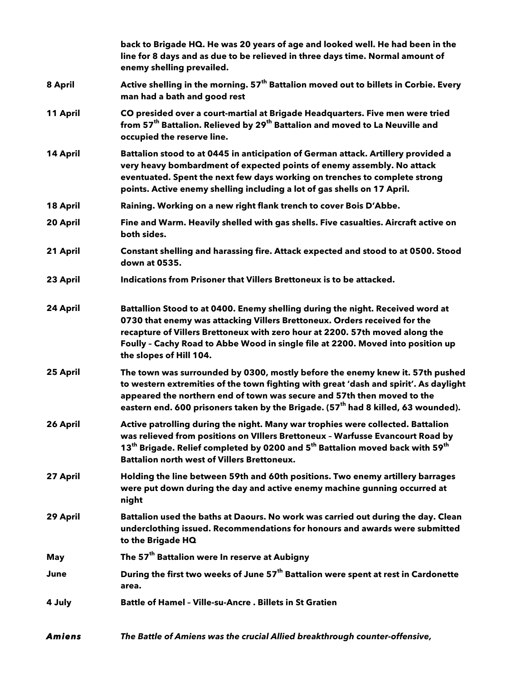|               | back to Brigade HQ. He was 20 years of age and looked well. He had been in the<br>line for 8 days and as due to be relieved in three days time. Normal amount of<br>enemy shelling prevailed.                                                                                                                                                             |
|---------------|-----------------------------------------------------------------------------------------------------------------------------------------------------------------------------------------------------------------------------------------------------------------------------------------------------------------------------------------------------------|
| 8 April       | Active shelling in the morning. 57 <sup>th</sup> Battalion moved out to billets in Corbie. Every<br>man had a bath and good rest                                                                                                                                                                                                                          |
| 11 April      | CO presided over a court-martial at Brigade Headquarters. Five men were tried<br>from 57 <sup>th</sup> Battalion. Relieved by 29 <sup>th</sup> Battalion and moved to La Neuville and<br>occupied the reserve line.                                                                                                                                       |
| 14 April      | Battalion stood to at 0445 in anticipation of German attack. Artillery provided a<br>very heavy bombardment of expected points of enemy assembly. No attack<br>eventuated. Spent the next few days working on trenches to complete strong<br>points. Active enemy shelling including a lot of gas shells on 17 April.                                     |
| 18 April      | Raining. Working on a new right flank trench to cover Bois D'Abbe.                                                                                                                                                                                                                                                                                        |
| 20 April      | Fine and Warm. Heavily shelled with gas shells. Five casualties. Aircraft active on<br>both sides.                                                                                                                                                                                                                                                        |
| 21 April      | Constant shelling and harassing fire. Attack expected and stood to at 0500. Stood<br>down at 0535.                                                                                                                                                                                                                                                        |
| 23 April      | Indications from Prisoner that Villers Brettoneux is to be attacked.                                                                                                                                                                                                                                                                                      |
| 24 April      | Battallion Stood to at 0400. Enemy shelling during the night. Received word at<br>0730 that enemy was attacking Villers Brettoneux. Orders received for the<br>recapture of Villers Brettoneux with zero hour at 2200. 57th moved along the<br>Foully - Cachy Road to Abbe Wood in single file at 2200. Moved into position up<br>the slopes of Hill 104. |
| 25 April      | The town was surrounded by 0300, mostly before the enemy knew it. 57th pushed<br>to western extremities of the town fighting with great 'dash and spirit'. As daylight<br>appeared the northern end of town was secure and 57th then moved to the<br>eastern end. 600 prisoners taken by the Brigade. (57 <sup>th</sup> had 8 killed, 63 wounded).        |
| 26 April      | Active patrolling during the night. Many war trophies were collected. Battalion<br>was relieved from positions on VIIIers Brettoneux - Warfusse Evancourt Road by<br>13 <sup>th</sup> Brigade. Relief completed by 0200 and 5 <sup>th</sup> Battalion moved back with 59 <sup>th</sup><br><b>Battalion north west of Villers Brettoneux.</b>              |
| 27 April      | Holding the line between 59th and 60th positions. Two enemy artillery barrages<br>were put down during the day and active enemy machine gunning occurred at<br>night                                                                                                                                                                                      |
| 29 April      | Battalion used the baths at Daours. No work was carried out during the day. Clean<br>underclothing issued. Recommendations for honours and awards were submitted<br>to the Brigade HQ                                                                                                                                                                     |
| May           | The 57 <sup>th</sup> Battalion were In reserve at Aubigny                                                                                                                                                                                                                                                                                                 |
| June          | During the first two weeks of June 57 <sup>th</sup> Battalion were spent at rest in Cardonette<br>area.                                                                                                                                                                                                                                                   |
| 4 July        | <b>Battle of Hamel - Ville-su-Ancre . Billets in St Gratien</b>                                                                                                                                                                                                                                                                                           |
| <b>Amiens</b> | The Battle of Amiens was the crucial Allied breakthrough counter-offensive,                                                                                                                                                                                                                                                                               |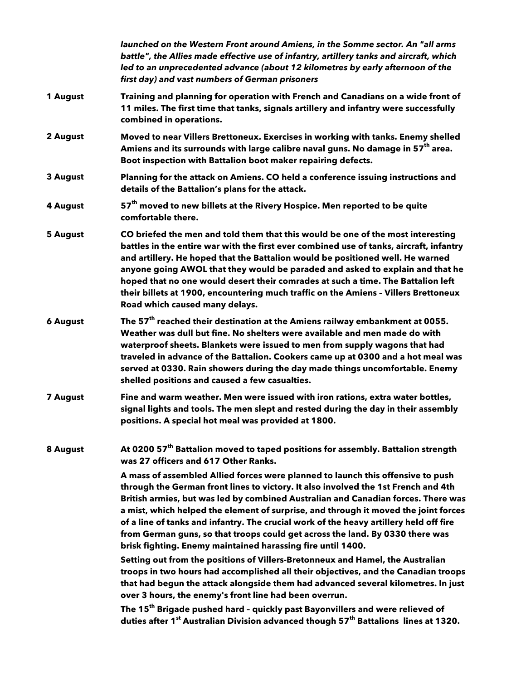|                 | launched on the Western Front around Amiens, in the Somme sector. An "all arms<br>battle", the Allies made effective use of infantry, artillery tanks and aircraft, which<br>led to an unprecedented advance (about 12 kilometres by early afternoon of the<br>first day) and vast numbers of German prisoners                                                                                                                                                                                                                                                                              |
|-----------------|---------------------------------------------------------------------------------------------------------------------------------------------------------------------------------------------------------------------------------------------------------------------------------------------------------------------------------------------------------------------------------------------------------------------------------------------------------------------------------------------------------------------------------------------------------------------------------------------|
| 1 August        | Training and planning for operation with French and Canadians on a wide front of<br>11 miles. The first time that tanks, signals artillery and infantry were successfully<br>combined in operations.                                                                                                                                                                                                                                                                                                                                                                                        |
| 2 August        | Moved to near Villers Brettoneux. Exercises in working with tanks. Enemy shelled<br>Amiens and its surrounds with large calibre naval guns. No damage in 57 <sup>th</sup> area.<br>Boot inspection with Battalion boot maker repairing defects.                                                                                                                                                                                                                                                                                                                                             |
| 3 August        | Planning for the attack on Amiens. CO held a conference issuing instructions and<br>details of the Battalion's plans for the attack.                                                                                                                                                                                                                                                                                                                                                                                                                                                        |
| 4 August        | 57 <sup>th</sup> moved to new billets at the Rivery Hospice. Men reported to be quite<br>comfortable there.                                                                                                                                                                                                                                                                                                                                                                                                                                                                                 |
| <b>5 August</b> | CO briefed the men and told them that this would be one of the most interesting<br>battles in the entire war with the first ever combined use of tanks, aircraft, infantry<br>and artillery. He hoped that the Battalion would be positioned well. He warned<br>anyone going AWOL that they would be paraded and asked to explain and that he<br>hoped that no one would desert their comrades at such a time. The Battalion left<br>their billets at 1900, encountering much traffic on the Amiens - Villers Brettoneux<br>Road which caused many delays.                                  |
| <b>6 August</b> | The 57 <sup>th</sup> reached their destination at the Amiens railway embankment at 0055.<br>Weather was dull but fine. No shelters were available and men made do with<br>waterproof sheets. Blankets were issued to men from supply wagons that had<br>traveled in advance of the Battalion. Cookers came up at 0300 and a hot meal was<br>served at 0330. Rain showers during the day made things uncomfortable. Enemy<br>shelled positions and caused a few casualties.                                                                                                                  |
| <b>7 August</b> | Fine and warm weather. Men were issued with iron rations, extra water bottles,<br>signal lights and tools. The men slept and rested during the day in their assembly<br>positions. A special hot meal was provided at 1800.                                                                                                                                                                                                                                                                                                                                                                 |
| 8 August        | At 0200 57 <sup>th</sup> Battalion moved to taped positions for assembly. Battalion strength<br>was 27 officers and 617 Other Ranks.                                                                                                                                                                                                                                                                                                                                                                                                                                                        |
|                 | A mass of assembled Allied forces were planned to launch this offensive to push<br>through the German front lines to victory. It also involved the 1st French and 4th<br>British armies, but was led by combined Australian and Canadian forces. There was<br>a mist, which helped the element of surprise, and through it moved the joint forces<br>of a line of tanks and infantry. The crucial work of the heavy artillery held off fire<br>from German guns, so that troops could get across the land. By 0330 there was<br>brisk fighting. Enemy maintained harassing fire until 1400. |
|                 | Setting out from the positions of Villers-Bretonneux and Hamel, the Australian<br>troops in two hours had accomplished all their objectives, and the Canadian troops<br>that had begun the attack alongside them had advanced several kilometres. In just<br>over 3 hours, the enemy's front line had been overrun.                                                                                                                                                                                                                                                                         |
|                 | The 15 <sup>th</sup> Brigade pushed hard - quickly past Bayonvillers and were relieved of<br>duties after 1 <sup>st</sup> Australian Division advanced though 57 <sup>th</sup> Battalions lines at 1320.                                                                                                                                                                                                                                                                                                                                                                                    |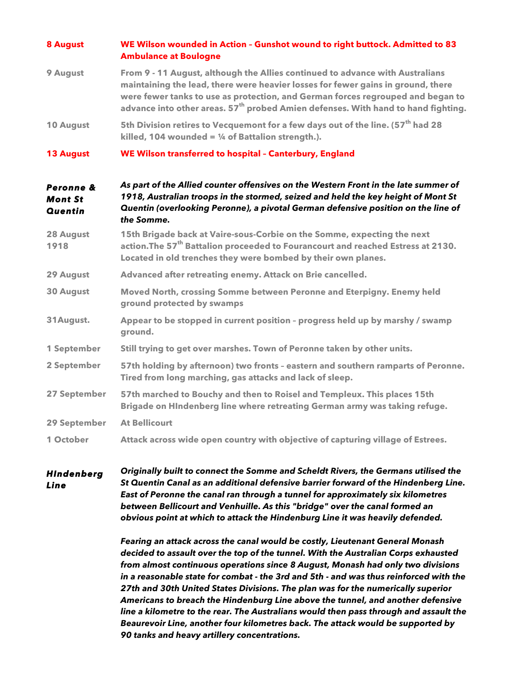| 8 August                                      | WE Wilson wounded in Action - Gunshot wound to right buttock. Admitted to 83<br><b>Ambulance at Boulogne</b>                                                                                                                                                                                                                                          |
|-----------------------------------------------|-------------------------------------------------------------------------------------------------------------------------------------------------------------------------------------------------------------------------------------------------------------------------------------------------------------------------------------------------------|
| 9 August                                      | From 9 - 11 August, although the Allies continued to advance with Australians<br>maintaining the lead, there were heavier losses for fewer gains in ground, there<br>were fewer tanks to use as protection, and German forces regrouped and began to<br>advance into other areas. 57 <sup>th</sup> probed Amien defenses. With hand to hand fighting. |
| 10 August                                     | 5th Division retires to Vecquemont for a few days out of the line. (57 <sup>th</sup> had 28<br>killed, 104 wounded = $\frac{1}{4}$ of Battalion strength.).                                                                                                                                                                                           |
| <b>13 August</b>                              | WE Wilson transferred to hospital - Canterbury, England                                                                                                                                                                                                                                                                                               |
| Peronne &<br><b>Mont St</b><br><b>Quentin</b> | As part of the Allied counter offensives on the Western Front in the late summer of<br>1918, Australian troops in the stormed, seized and held the key height of Mont St<br>Quentin (overlooking Peronne), a pivotal German defensive position on the line of<br>the Somme.                                                                           |
| 28 August<br>1918                             | 15th Brigade back at Vaire-sous-Corbie on the Somme, expecting the next<br>action. The 57 <sup>th</sup> Battalion proceeded to Fourancourt and reached Estress at 2130.<br>Located in old trenches they were bombed by their own planes.                                                                                                              |
| 29 August                                     | Advanced after retreating enemy. Attack on Brie cancelled.                                                                                                                                                                                                                                                                                            |
| <b>30 August</b>                              | Moved North, crossing Somme between Peronne and Eterpigny. Enemy held<br>ground protected by swamps                                                                                                                                                                                                                                                   |
| 31 August.                                    | Appear to be stopped in current position - progress held up by marshy / swamp<br>ground.                                                                                                                                                                                                                                                              |
| 1 September                                   | Still trying to get over marshes. Town of Peronne taken by other units.                                                                                                                                                                                                                                                                               |
| 2 September                                   | 57th holding by afternoon) two fronts - eastern and southern ramparts of Peronne.<br>Tired from long marching, gas attacks and lack of sleep.                                                                                                                                                                                                         |
| 27 September                                  | 57th marched to Bouchy and then to Roisel and Templeux. This places 15th<br>Brigade on HIndenberg line where retreating German army was taking refuge.                                                                                                                                                                                                |
| 29 September                                  | <b>At Bellicourt</b>                                                                                                                                                                                                                                                                                                                                  |
| 1 October                                     | Attack across wide open country with objective of capturing village of Estrees.                                                                                                                                                                                                                                                                       |

*HIndenberg Line Originally built to connect the Somme and Scheldt Rivers, the Germans utilised the St Quentin Canal as an additional defensive barrier forward of the Hindenberg Line. East of Peronne the canal ran through a tunnel for approximately six kilometres between Bellicourt and Venhuille. As this "bridge" over the canal formed an obvious point at which to attack the Hindenburg Line it was heavily defended.* 

> *Fearing an attack across the canal would be costly, Lieutenant General Monash decided to assault over the top of the tunnel. With the Australian Corps exhausted from almost continuous operations since 8 August, Monash had only two divisions in a reasonable state for combat - the 3rd and 5th - and was thus reinforced with the 27th and 30th United States Divisions. The plan was for the numerically superior Americans to breach the Hindenburg Line above the tunnel, and another defensive line a kilometre to the rear. The Australians would then pass through and assault the Beaurevoir Line, another four kilometres back. The attack would be supported by 90 tanks and heavy artillery concentrations.*